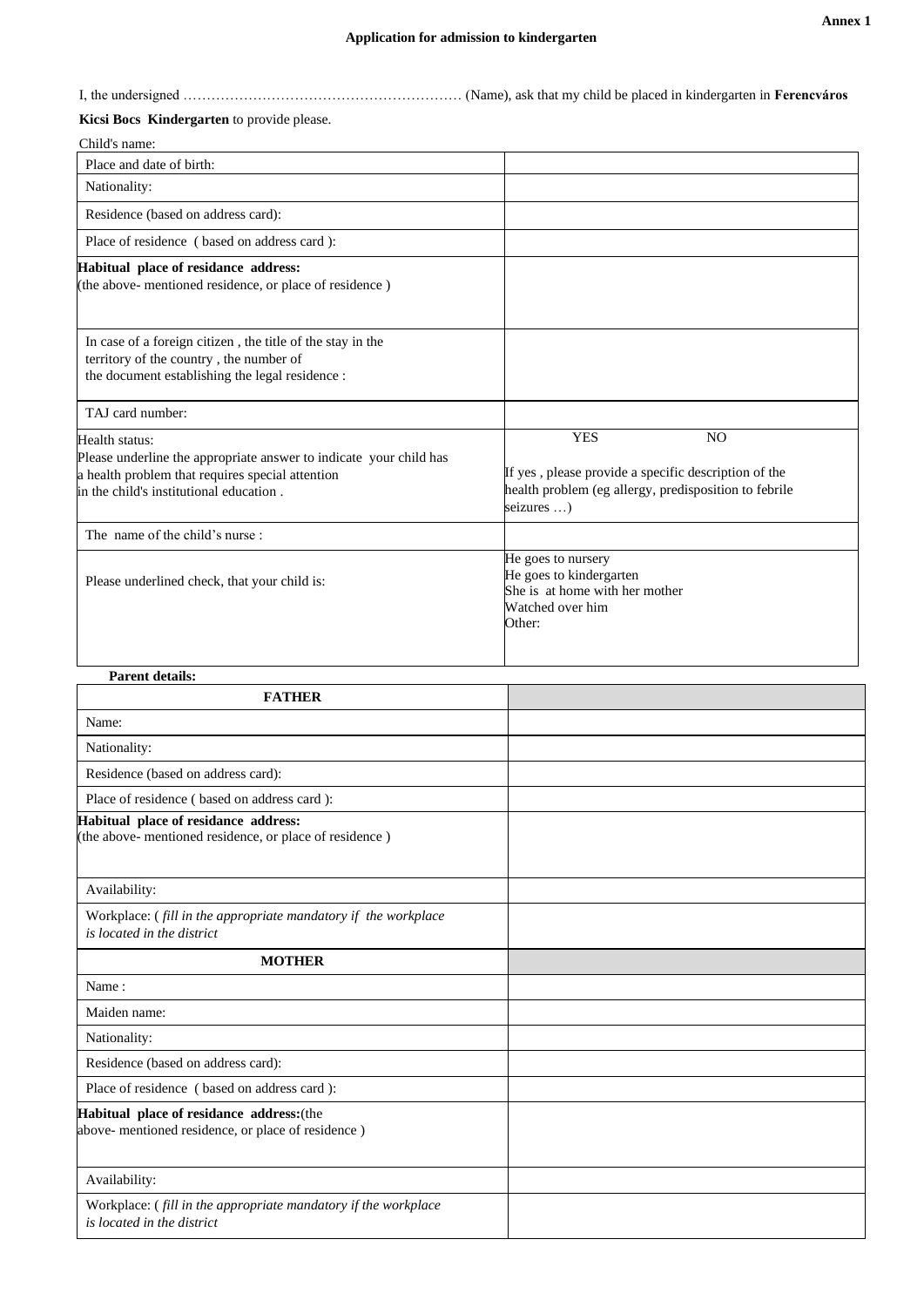I, the undersigned …………………………………………………… (Name), ask that my child be placed in kindergarten in **Ferencváros**

## **Kicsi Bocs Kindergarten** to provide please.

| Child's name:                                                                                                                                                                       |                                                                                                                                                             |  |  |
|-------------------------------------------------------------------------------------------------------------------------------------------------------------------------------------|-------------------------------------------------------------------------------------------------------------------------------------------------------------|--|--|
| Place and date of birth:                                                                                                                                                            |                                                                                                                                                             |  |  |
| Nationality:                                                                                                                                                                        |                                                                                                                                                             |  |  |
| Residence (based on address card):                                                                                                                                                  |                                                                                                                                                             |  |  |
| Place of residence (based on address card):                                                                                                                                         |                                                                                                                                                             |  |  |
| Habitual place of residance address:<br>(the above- mentioned residence, or place of residence)                                                                                     |                                                                                                                                                             |  |  |
| In case of a foreign citizen, the title of the stay in the<br>territory of the country, the number of<br>the document establishing the legal residence :                            |                                                                                                                                                             |  |  |
| TAJ card number:                                                                                                                                                                    |                                                                                                                                                             |  |  |
| Health status:<br>Please underline the appropriate answer to indicate your child has<br>a health problem that requires special attention<br>in the child's institutional education. | <b>YES</b><br>N <sub>O</sub><br>If yes, please provide a specific description of the<br>health problem (eg allergy, predisposition to febrile<br>seizures ) |  |  |
| The name of the child's nurse:                                                                                                                                                      |                                                                                                                                                             |  |  |
| Please underlined check, that your child is:                                                                                                                                        | He goes to nursery<br>He goes to kindergarten<br>She is at home with her mother<br>Watched over him<br>Other:                                               |  |  |
| <b>Parent details:</b>                                                                                                                                                              |                                                                                                                                                             |  |  |
| <b>FATHER</b>                                                                                                                                                                       |                                                                                                                                                             |  |  |
| $N_{\text{max}}$                                                                                                                                                                    |                                                                                                                                                             |  |  |

| FAIHER                                                                                          |  |
|-------------------------------------------------------------------------------------------------|--|
| Name:                                                                                           |  |
| Nationality:                                                                                    |  |
| Residence (based on address card):                                                              |  |
| Place of residence (based on address card):                                                     |  |
| Habitual place of residance address:<br>(the above- mentioned residence, or place of residence) |  |
| Availability:                                                                                   |  |
| Workplace: (fill in the appropriate mandatory if the workplace<br>is located in the district    |  |
| <b>MOTHER</b>                                                                                   |  |
| Name:                                                                                           |  |
| Maiden name:                                                                                    |  |
| Nationality:                                                                                    |  |
| Residence (based on address card):                                                              |  |
| Place of residence (based on address card):                                                     |  |
| Habitual place of residance address: (the<br>above- mentioned residence, or place of residence) |  |
| Availability:                                                                                   |  |
| Workplace: (fill in the appropriate mandatory if the workplace<br>is located in the district    |  |